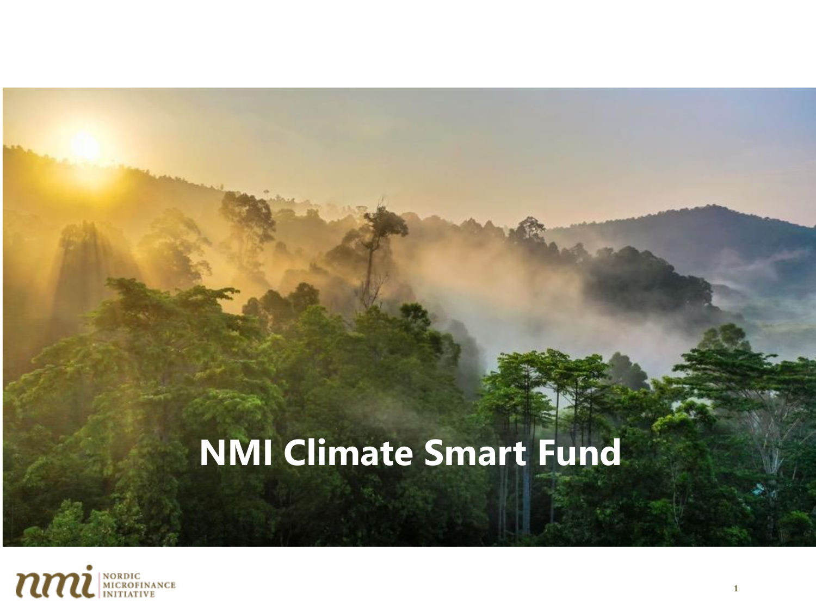# **NMI Climate Smart Fund**

**"Climate Smart Microfinance Fund"**

**in Indonesia**

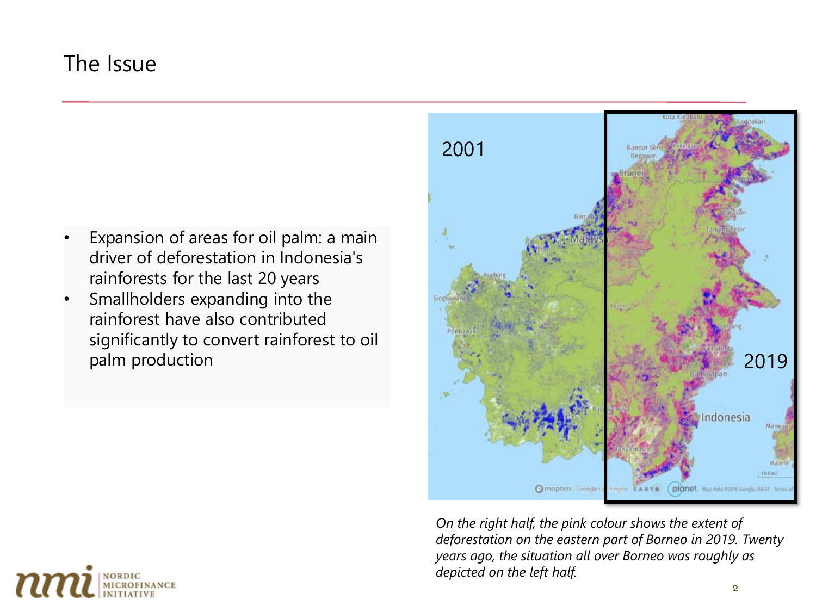## The Issue

- Expansion of areas for oil palm: a main driver of deforestation in Indonesia's rainforests for the last 20 years
- Smallholders expanding into the rainforest have also contributed significantly to convert rainforest to oil palm production



*On the right half, the pink colour shows the extent of deforestation on the eastern part of Borneo in 2019. Twenty years ago, the situation all over Borneo was roughly as depicted on the left half.*

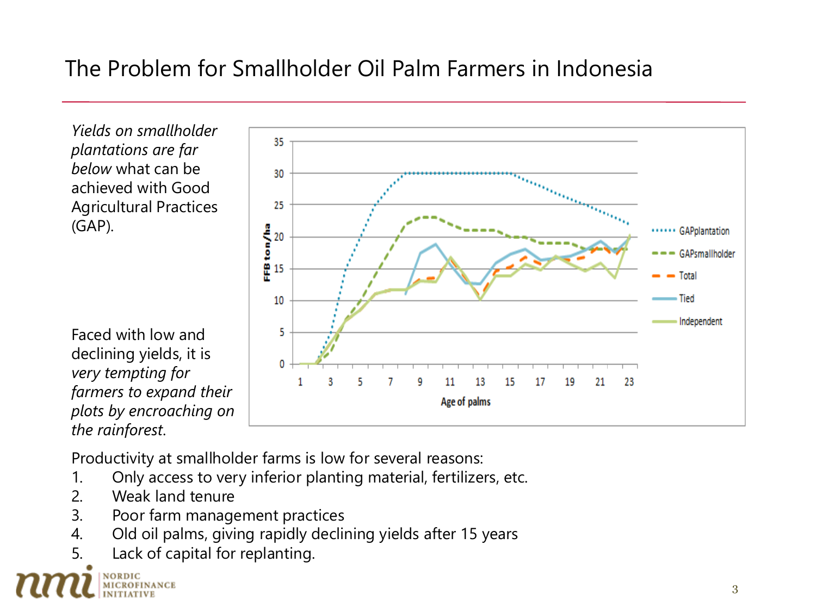## The Problem for Smallholder Oil Palm Farmers in Indonesia

*Yields on smallholder plantations are far below* what can be achieved with Good Agricultural Practices (GAP).

Faced with low and declining yields, it is *very tempting for farmers to expand their plots by encroaching on the rainforest*.



- 1. Only access to very inferior planting material, fertilizers, etc.
- 2. Weak land tenure
- 3. Poor farm management practices
- 4. Old oil palms, giving rapidly declining yields after 15 years
- 5. Lack of capital for replanting.

NORDIC MICROFINANCE